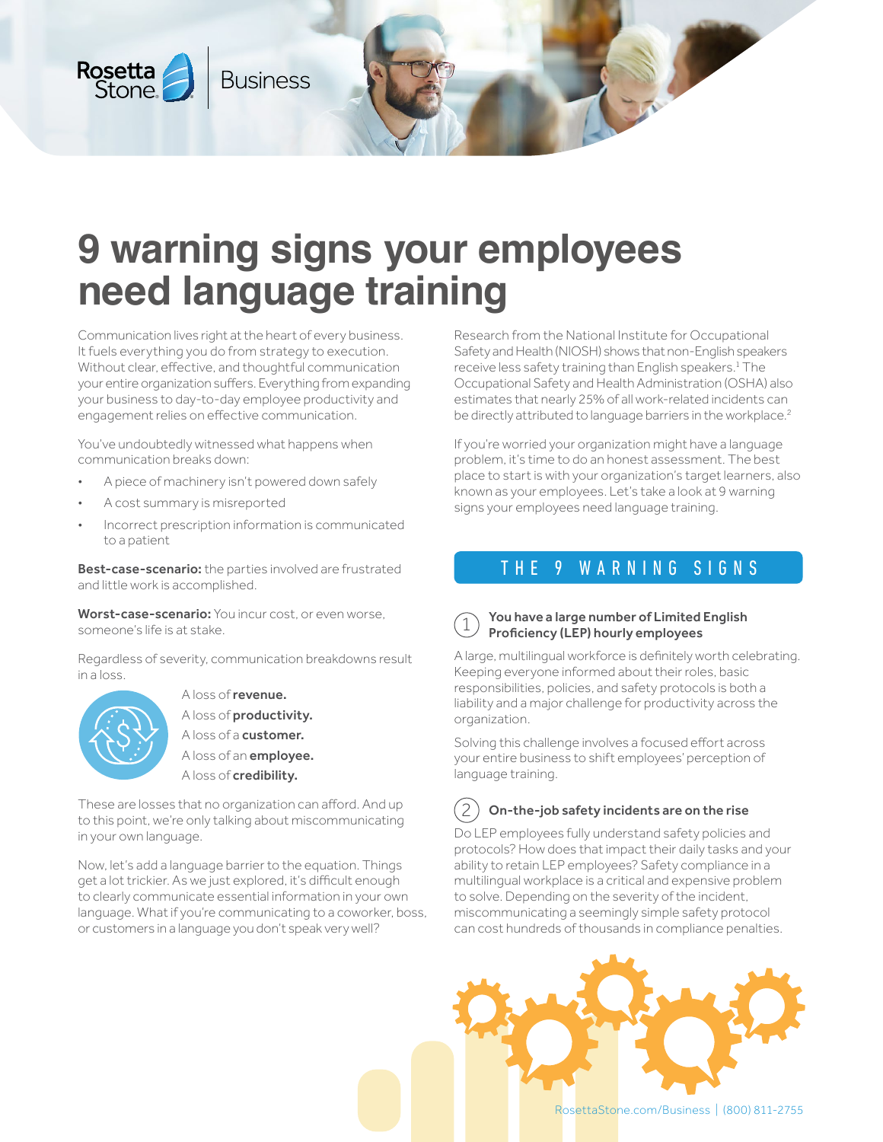

# **9 warning signs your employees need language training**

Communication lives right at the heart of every business. It fuels everything you do from strategy to execution. Without clear, effective, and thoughtful communication your entire organization suffers. Everything from expanding your business to day-to-day employee productivity and engagement relies on effective communication.

You've undoubtedly witnessed what happens when communication breaks down:

- A piece of machinery isn't powered down safely
- A cost summary is misreported
- Incorrect prescription information is communicated to a patient

Best-case-scenario: the parties involved are frustrated and little work is accomplished.

Worst-case-scenario: You incur cost, or even worse, someone's life is at stake.

Regardless of severity, communication breakdowns result in a loss.



A loss of revenue. A loss of productivity. A loss of a customer. A loss of an **employee.** A loss of **credibility.** 

These are losses that no organization can afford. And up to this point, we're only talking about miscommunicating in your own language.

Now, let's add a language barrier to the equation. Things get a lot trickier. As we just explored, it's difficult enough to clearly communicate essential information in your own language. What if you're communicating to a coworker, boss, or customers in a language you don't speak very well?

Research from the National Institute for Occupational Safety and Health (NIOSH) shows that non-English speakers receive less safety training than English speakers.<sup>1</sup> The Occupational Safety and Health Administration (OSHA) also estimates that nearly 25% of all work-related incidents can be directly attributed to language barriers in the workplace.<sup>2</sup>

If you're worried your organization might have a language problem, it's time to do an honest assessment. The best place to start is with your organization's target learners, also known as your employees. Let's take a look at 9 warning signs your employees need language training.

# THE 9 WARNING SIGNS

#### 1 You have a large number of Limited English Proficiency (LEP) hourly employees

A large, multilingual workforce is definitely worth celebrating. Keeping everyone informed about their roles, basic responsibilities, policies, and safety protocols is both a liability and a major challenge for productivity across the organization.

Solving this challenge involves a focused effort across your entire business to shift employees' perception of language training.

#### 2 On-the-job safety incidents are on the rise

Do LEP employees fully understand safety policies and protocols? How does that impact their daily tasks and your ability to retain LEP employees? Safety compliance in a multilingual workplace is a critical and expensive problem to solve. Depending on the severity of the incident, miscommunicating a seemingly simple safety protocol can cost hundreds of thousands in compliance penalties.